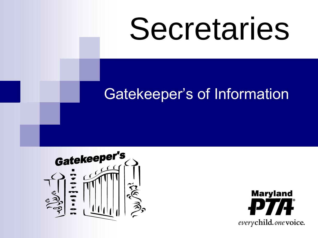# Secretaries

#### Gatekeeper's of Information



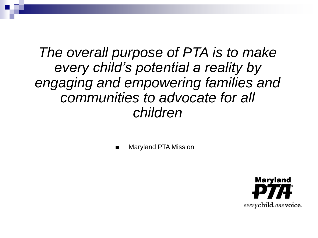*The overall purpose of PTA is to make every child's potential a reality by engaging and empowering families and communities to advocate for all children*

**Maryland PTA Mission** 

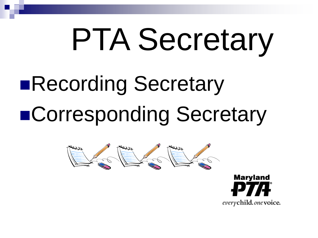# PTA Secretary

# **Recording Secretary** ■Corresponding Secretary



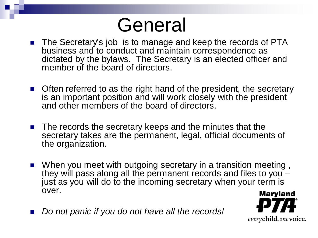# General

- The Secretary's job is to manage and keep the records of PTA business and to conduct and maintain correspondence as dictated by the bylaws. The Secretary is an elected officer and member of the board of directors.
- **Often referred to as the right hand of the president, the secretary** is an important position and will work closely with the president and other members of the board of directors.
- The records the secretary keeps and the minutes that the secretary takes are the permanent, legal, official documents of the organization.
- **Notal Milter Weith State Secretary in a transition meeting,** they will pass along all the permanent records and files to you – just as you will do to the incoming secretary when your term is over.



*Do not panic if you do not have all the records!*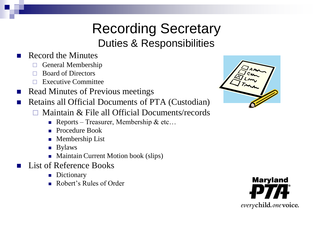#### Recording Secretary Duties & Responsibilities

#### Record the Minutes

- General Membership
- $\Box$  Board of Directors
- $\Box$  Executive Committee
- Read Minutes of Previous meetings
- Retains all Official Documents of PTA (Custodian)
	- Maintain & File all Official Documents/records
		- Reports Treasurer, Membership & etc...
		- **Procedure Book**
		- Membership List
		- **Bylaws**
		- Maintain Current Motion book (slips)
- List of Reference Books
	- Dictionary
	- Robert's Rules of Order



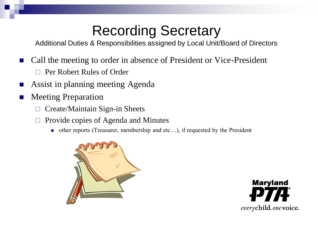#### Recording Secretary

Additional Duties & Responsibilities assigned by Local Unit/Board of Directors

- Call the meeting to order in absence of President or Vice-President
	- Per Robert Rules of Order
- Assist in planning meeting Agenda
- Meeting Preparation
	- Create/Maintain Sign-in Sheets
	- Provide copies of Agenda and Minutes
		- other reports (Treasurer, membership and etc…), if requested by the President



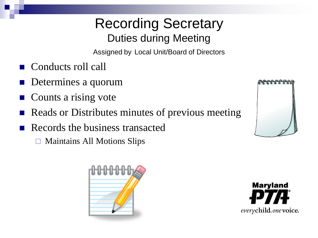#### Recording Secretary Duties during Meeting

Assigned by Local Unit/Board of Directors

- Conducts roll call
- Determines a quorum
- Counts a rising vote
- Reads or Distributes minutes of previous meeting
- Records the business transacted
	- Maintains All Motions Slips





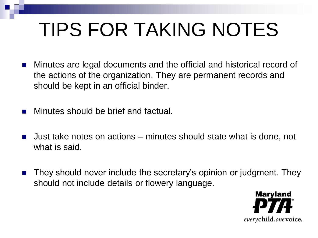# TIPS FOR TAKING NOTES

- **Minutes are legal documents and the official and historical record of** the actions of the organization. They are permanent records and should be kept in an official binder.
- Minutes should be brief and factual.
- Just take notes on actions minutes should state what is done, not what is said.
- They should never include the secretary's opinion or judgment. They should not include details or flowery language.

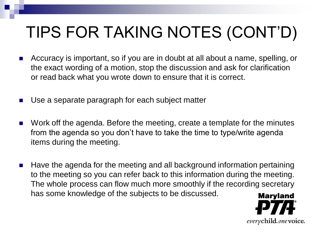- Accuracy is important, so if you are in doubt at all about a name, spelling, or the exact wording of a motion, stop the discussion and ask for clarification or read back what you wrote down to ensure that it is correct.
- Use a separate paragraph for each subject matter
- Work off the agenda. Before the meeting, create a template for the minutes from the agenda so you don't have to take the time to type/write agenda items during the meeting.
- Have the agenda for the meeting and all background information pertaining to the meeting so you can refer back to this information during the meeting. The whole process can flow much more smoothly if the recording secretary has some knowledge of the subjects to be discussed.

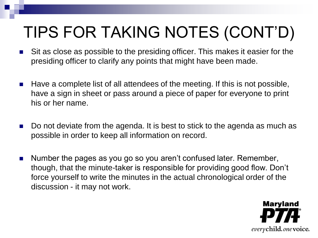- Sit as close as possible to the presiding officer. This makes it easier for the presiding officer to clarify any points that might have been made.
- $\blacksquare$  Have a complete list of all attendees of the meeting. If this is not possible, have a sign in sheet or pass around a piece of paper for everyone to print his or her name.
- Do not deviate from the agenda. It is best to stick to the agenda as much as possible in order to keep all information on record.
- Number the pages as you go so you aren't confused later. Remember, though, that the minute-taker is responsible for providing good flow. Don't force yourself to write the minutes in the actual chronological order of the discussion - it may not work.

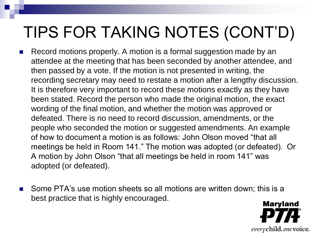- Record motions properly. A motion is a formal suggestion made by an attendee at the meeting that has been seconded by another attendee, and then passed by a vote. If the motion is not presented in writing, the recording secretary may need to restate a motion after a lengthy discussion. It is therefore very important to record these motions exactly as they have been stated. Record the person who made the original motion, the exact wording of the final motion, and whether the motion was approved or defeated. There is no need to record discussion, amendments, or the people who seconded the motion or suggested amendments. An example of how to document a motion is as follows: John Olson moved "that all meetings be held in Room 141." The motion was adopted (or defeated). Or A motion by John Olson "that all meetings be held in room 141" was adopted (or defeated).
- Some PTA's use motion sheets so all motions are written down; this is a best practice that is highly encouraged.

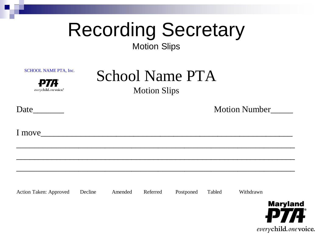# Recording Secretary

#### Motion Slips

SCHOOL NAME PTA, Inc.

everychild.onevoice.<sup>®</sup>

#### School Name PTA Motion Slips

 $\overline{\phantom{a}}$  , and the contract of the contract of the contract of the contract of the contract of the contract of the contract of the contract of the contract of the contract of the contract of the contract of the contrac

 $\overline{\phantom{a}}$  , and the contract of the contract of the contract of the contract of the contract of the contract of the contract of the contract of the contract of the contract of the contract of the contract of the contrac

 $\overline{\phantom{a}}$  , and the contract of the contract of the contract of the contract of the contract of the contract of the contract of the contract of the contract of the contract of the contract of the contract of the contrac

Date Motion Number

I move

Action Taken: Approved Decline Amended Referred Postponed Tabled Withdrawn

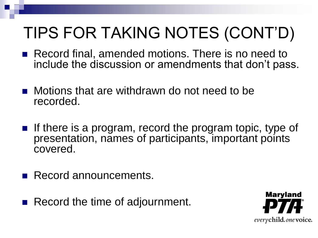- Record final, amended motions. There is no need to include the discussion or amendments that don't pass.
- Motions that are withdrawn do not need to be recorded.
- If there is a program, record the program topic, type of presentation, names of participants, important points covered.
- Record announcements.
- Record the time of adjournment.

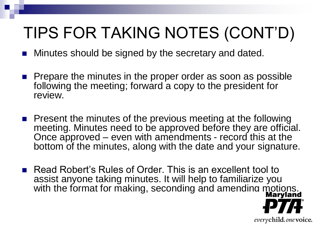- **Minutes should be signed by the secretary and dated.**
- **Prepare the minutes in the proper order as soon as possible** following the meeting; forward a copy to the president for review.
- **Present the minutes of the previous meeting at the following** meeting. Minutes need to be approved before they are official. Once approved – even with amendments - record this at the bottom of the minutes, along with the date and your signature.
- Read Robert's Rules of Order. This is an excellent tool to assist anyone taking minutes. It will help to familiarize you assist anyone taking initially is the star-<br>with the format for making, seconding and amending maryland

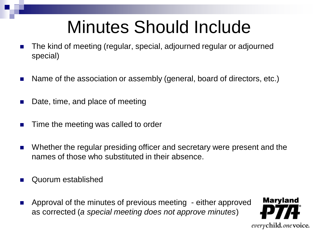# Minutes Should Include

- The kind of meeting (regular, special, adjourned regular or adjourned special)
- Name of the association or assembly (general, board of directors, etc.)
- Date, time, and place of meeting
- Time the meeting was called to order
- Whether the regular presiding officer and secretary were present and the names of those who substituted in their absence.
- Quorum established
- Approval of the minutes of previous meeting either approved Maryland as corrected (*a special meeting does not approve minutes*)

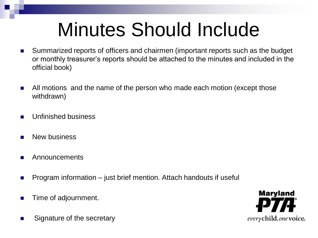# Minutes Should Include

- Summarized reports of officers and chairmen (important reports such as the budget or monthly treasurer's reports should be attached to the minutes and included in the official book)
- **All motions and the name of the person who made each motion (except those** withdrawn)
- **Unfinished business**
- New business
- Announcements
- Program information just brief mention. Attach handouts if useful
- Time of adjournment.
- Signature of the secretary

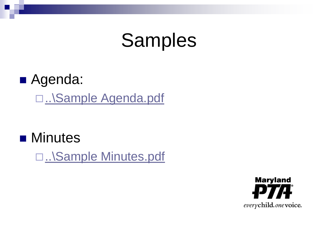# Samples

■ Agenda: □ [..\Sample Agenda.pdf](../Sample Agenda.pdf)

#### **Ninutes**

□.[..\Sample Minutes.pdf](../Sample Minutes.pdf)

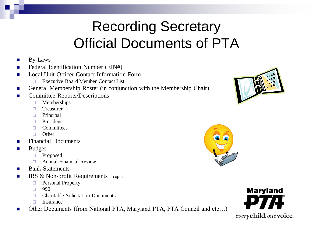### Recording Secretary Official Documents of PTA

- $\blacksquare$  By-Laws
- Federal Identification Number (EIN#)
- Local Unit Officer Contact Information Form
	- $\Box$  Executive Board Member Contact List
- General Membership Roster (in conjunction with the Membership Chair)
- **Committee Reports/Descriptions** 
	- $\Box$  Memberships
	- $\Box$  Treasurer
	- $\Box$  Principal
	- $\Box$  President
	- $\Box$  Committees
	- $\Box$  Other
- Financial Documents
- **Budget** 
	- □ Proposed
	- $\Box$  Annual Financial Review
- Bank Statements
- **IRS & Non-profit Requirements** copies
	- **Personal Property**
	- $\Box$  990
	- $\Box$  Charitable Solicitation Documents
	- $\Box$  Insurance
- Other Documents (from National PTA, Maryland PTA, PTA Council and etc…)





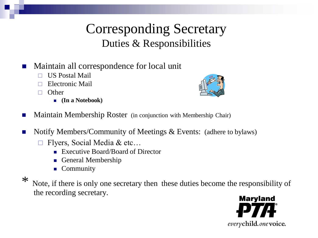#### Corresponding Secretary Duties & Responsibilities

- **Maintain all correspondence for local unit** 
	- US Postal Mail
	- Electronic Mail
	- **Other** 
		- **(In a Notebook)**



- **Maintain Membership Roster** (in conjunction with Membership Chair)
- Notify Members/Community of Meetings  $& Events:$  (adhere to bylaws)
	- Flyers, Social Media & etc…
		- Executive Board/Board of Director
		- General Membership
		- Community

Note, if there is only one secretary then these duties become the responsibility of the recording secretary.

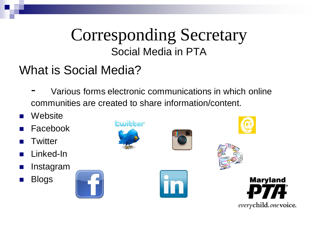### Corresponding Secretary Social Media in PTA

#### What is Social Media?

- Various forms electronic communications in which online communities are created to share information/content.
- **Website**
- Facebook
- **Twitter**
- Linked-In
- Instagram
- Blogs



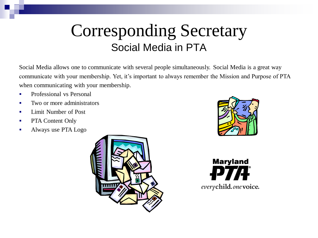#### Corresponding Secretary Social Media in PTA

Social Media allows one to communicate with several people simultaneously. Social Media is a great way communicate with your membership. Yet, it's important to always remember the Mission and Purpose of PTA when communicating with your membership.

- **•** Professional vs Personal
- **•** Two or more administrators
- **Limit Number of Post**
- **PTA Content Only**
- **•** Always use PTA Logo





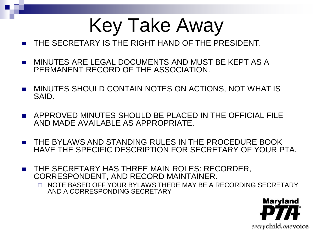# Key Take Away

- **THE SECRETARY IS THE RIGHT HAND OF THE PRESIDENT.**
- **NINUTES ARE LEGAL DOCUMENTS AND MUST BE KEPT AS A** PERMANENT RECORD OF THE ASSOCIATION.
- **MINUTES SHOULD CONTAIN NOTES ON ACTIONS, NOT WHAT IS** SAID.
- **APPROVED MINUTES SHOULD BE PLACED IN THE OFFICIAL FILE** AND MADE AVAILABLE AS APPROPRIATE.
- **THE BYLAWS AND STANDING RULES IN THE PROCEDURE BOOK** HAVE THE SPECIFIC DESCRIPTION FOR SECRETARY OF YOUR PTA.
- **THE SECRETARY HAS THREE MAIN ROLES: RECORDER,** CORRESPONDENT, AND RECORD MAINTAINER.
	- NOTE BASED OFF YOUR BYLAWS THERE MAY BE A RECORDING SECRETARY AND A CORRESPONDING SECRETARY